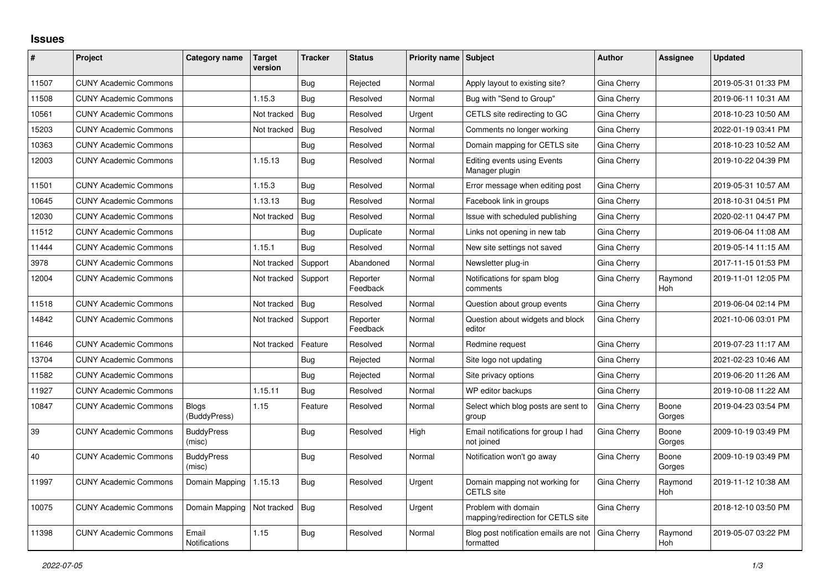## **Issues**

| $\#$  | Project                      | Category name                | Target<br>version | <b>Tracker</b> | <b>Status</b>        | <b>Priority name Subject</b> |                                                           | <b>Author</b> | Assignee              | <b>Updated</b>      |
|-------|------------------------------|------------------------------|-------------------|----------------|----------------------|------------------------------|-----------------------------------------------------------|---------------|-----------------------|---------------------|
| 11507 | <b>CUNY Academic Commons</b> |                              |                   | Bug            | Rejected             | Normal                       | Apply layout to existing site?                            | Gina Cherry   |                       | 2019-05-31 01:33 PM |
| 11508 | <b>CUNY Academic Commons</b> |                              | 1.15.3            | Bug            | Resolved             | Normal                       | Bug with "Send to Group"                                  | Gina Cherry   |                       | 2019-06-11 10:31 AM |
| 10561 | <b>CUNY Academic Commons</b> |                              | Not tracked       | Bug            | Resolved             | Urgent                       | CETLS site redirecting to GC                              | Gina Cherry   |                       | 2018-10-23 10:50 AM |
| 15203 | <b>CUNY Academic Commons</b> |                              | Not tracked       | <b>Bug</b>     | Resolved             | Normal                       | Comments no longer working                                | Gina Cherry   |                       | 2022-01-19 03:41 PM |
| 10363 | <b>CUNY Academic Commons</b> |                              |                   | Bug            | Resolved             | Normal                       | Domain mapping for CETLS site                             | Gina Cherry   |                       | 2018-10-23 10:52 AM |
| 12003 | <b>CUNY Academic Commons</b> |                              | 1.15.13           | Bug            | Resolved             | Normal                       | <b>Editing events using Events</b><br>Manager plugin      | Gina Cherry   |                       | 2019-10-22 04:39 PM |
| 11501 | <b>CUNY Academic Commons</b> |                              | 1.15.3            | Bug            | Resolved             | Normal                       | Error message when editing post                           | Gina Cherry   |                       | 2019-05-31 10:57 AM |
| 10645 | <b>CUNY Academic Commons</b> |                              | 1.13.13           | Bug            | Resolved             | Normal                       | Facebook link in groups                                   | Gina Cherry   |                       | 2018-10-31 04:51 PM |
| 12030 | <b>CUNY Academic Commons</b> |                              | Not tracked       | Bug            | Resolved             | Normal                       | Issue with scheduled publishing                           | Gina Cherry   |                       | 2020-02-11 04:47 PM |
| 11512 | <b>CUNY Academic Commons</b> |                              |                   | Bug            | Duplicate            | Normal                       | Links not opening in new tab                              | Gina Cherry   |                       | 2019-06-04 11:08 AM |
| 11444 | <b>CUNY Academic Commons</b> |                              | 1.15.1            | Bug            | Resolved             | Normal                       | New site settings not saved                               | Gina Cherry   |                       | 2019-05-14 11:15 AM |
| 3978  | <b>CUNY Academic Commons</b> |                              | Not tracked       | Support        | Abandoned            | Normal                       | Newsletter plug-in                                        | Gina Cherry   |                       | 2017-11-15 01:53 PM |
| 12004 | <b>CUNY Academic Commons</b> |                              | Not tracked       | Support        | Reporter<br>Feedback | Normal                       | Notifications for spam blog<br>comments                   | Gina Cherry   | Raymond<br><b>Hoh</b> | 2019-11-01 12:05 PM |
| 11518 | <b>CUNY Academic Commons</b> |                              | Not tracked       | Bug            | Resolved             | Normal                       | Question about group events                               | Gina Cherry   |                       | 2019-06-04 02:14 PM |
| 14842 | <b>CUNY Academic Commons</b> |                              | Not tracked       | Support        | Reporter<br>Feedback | Normal                       | Question about widgets and block<br>editor                | Gina Cherry   |                       | 2021-10-06 03:01 PM |
| 11646 | <b>CUNY Academic Commons</b> |                              | Not tracked       | Feature        | Resolved             | Normal                       | Redmine request                                           | Gina Cherry   |                       | 2019-07-23 11:17 AM |
| 13704 | <b>CUNY Academic Commons</b> |                              |                   | <b>Bug</b>     | Rejected             | Normal                       | Site logo not updating                                    | Gina Cherry   |                       | 2021-02-23 10:46 AM |
| 11582 | <b>CUNY Academic Commons</b> |                              |                   | Bug            | Rejected             | Normal                       | Site privacy options                                      | Gina Cherry   |                       | 2019-06-20 11:26 AM |
| 11927 | <b>CUNY Academic Commons</b> |                              | 1.15.11           | Bug            | Resolved             | Normal                       | WP editor backups                                         | Gina Cherry   |                       | 2019-10-08 11:22 AM |
| 10847 | <b>CUNY Academic Commons</b> | <b>Blogs</b><br>(BuddyPress) | 1.15              | Feature        | Resolved             | Normal                       | Select which blog posts are sent to<br>group              | Gina Cherry   | Boone<br>Gorges       | 2019-04-23 03:54 PM |
| 39    | <b>CUNY Academic Commons</b> | <b>BuddyPress</b><br>(misc)  |                   | <b>Bug</b>     | Resolved             | High                         | Email notifications for group I had<br>not joined         | Gina Cherry   | Boone<br>Gorges       | 2009-10-19 03:49 PM |
| 40    | <b>CUNY Academic Commons</b> | <b>BuddyPress</b><br>(misc)  |                   | Bug            | Resolved             | Normal                       | Notification won't go away                                | Gina Cherry   | Boone<br>Gorges       | 2009-10-19 03:49 PM |
| 11997 | <b>CUNY Academic Commons</b> | Domain Mapping               | 1.15.13           | Bug            | Resolved             | Urgent                       | Domain mapping not working for<br><b>CETLS</b> site       | Gina Cherry   | Raymond<br>Hoh        | 2019-11-12 10:38 AM |
| 10075 | <b>CUNY Academic Commons</b> | Domain Mapping               | Not tracked       | Bug            | Resolved             | Urgent                       | Problem with domain<br>mapping/redirection for CETLS site | Gina Cherry   |                       | 2018-12-10 03:50 PM |
| 11398 | <b>CUNY Academic Commons</b> | Email<br>Notifications       | 1.15              | Bug            | Resolved             | Normal                       | Blog post notification emails are not<br>formatted        | Gina Cherry   | Raymond<br>Hoh        | 2019-05-07 03:22 PM |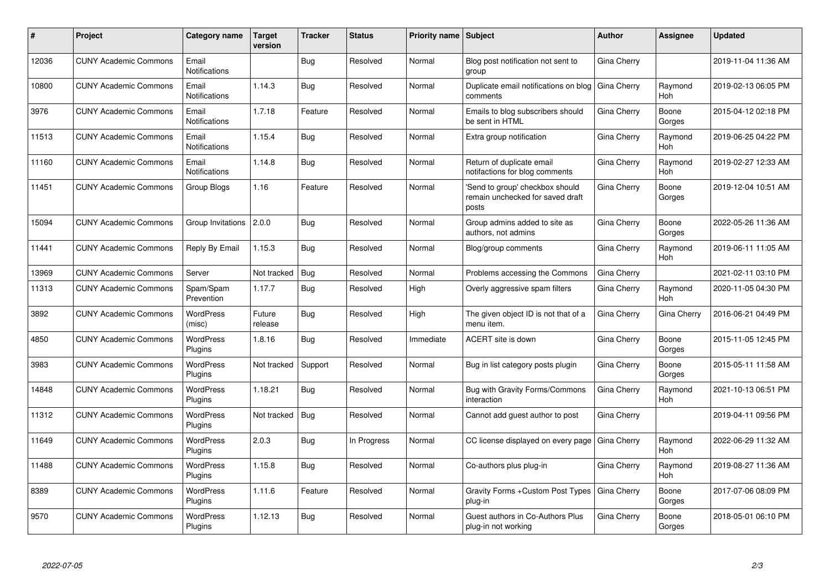| #     | Project                      | Category name                 | <b>Target</b><br>version | <b>Tracker</b> | <b>Status</b> | <b>Priority name Subject</b> |                                                                              | <b>Author</b> | Assignee              | <b>Updated</b>      |
|-------|------------------------------|-------------------------------|--------------------------|----------------|---------------|------------------------------|------------------------------------------------------------------------------|---------------|-----------------------|---------------------|
| 12036 | <b>CUNY Academic Commons</b> | Email<br><b>Notifications</b> |                          | Bug            | Resolved      | Normal                       | Blog post notification not sent to<br>group                                  | Gina Cherry   |                       | 2019-11-04 11:36 AM |
| 10800 | <b>CUNY Academic Commons</b> | Email<br><b>Notifications</b> | 1.14.3                   | Bug            | Resolved      | Normal                       | Duplicate email notifications on blog<br>comments                            | Gina Cherry   | Raymond<br>Hoh        | 2019-02-13 06:05 PM |
| 3976  | <b>CUNY Academic Commons</b> | Email<br>Notifications        | 1.7.18                   | Feature        | Resolved      | Normal                       | Emails to blog subscribers should<br>be sent in HTML                         | Gina Cherry   | Boone<br>Gorges       | 2015-04-12 02:18 PM |
| 11513 | <b>CUNY Academic Commons</b> | Email<br><b>Notifications</b> | 1.15.4                   | <b>Bug</b>     | Resolved      | Normal                       | Extra group notification                                                     | Gina Cherry   | Raymond<br>Hoh        | 2019-06-25 04:22 PM |
| 11160 | <b>CUNY Academic Commons</b> | Email<br>Notifications        | 1.14.8                   | <b>Bug</b>     | Resolved      | Normal                       | Return of duplicate email<br>notifactions for blog comments                  | Gina Cherry   | Raymond<br><b>Hoh</b> | 2019-02-27 12:33 AM |
| 11451 | <b>CUNY Academic Commons</b> | Group Blogs                   | 1.16                     | Feature        | Resolved      | Normal                       | 'Send to group' checkbox should<br>remain unchecked for saved draft<br>posts | Gina Cherry   | Boone<br>Gorges       | 2019-12-04 10:51 AM |
| 15094 | <b>CUNY Academic Commons</b> | Group Invitations             | 2.0.0                    | <b>Bug</b>     | Resolved      | Normal                       | Group admins added to site as<br>authors, not admins                         | Gina Cherry   | Boone<br>Gorges       | 2022-05-26 11:36 AM |
| 11441 | <b>CUNY Academic Commons</b> | Reply By Email                | 1.15.3                   | <b>Bug</b>     | Resolved      | Normal                       | Blog/group comments                                                          | Gina Cherry   | Raymond<br>Hoh        | 2019-06-11 11:05 AM |
| 13969 | <b>CUNY Academic Commons</b> | Server                        | Not tracked              | Bug            | Resolved      | Normal                       | Problems accessing the Commons                                               | Gina Cherry   |                       | 2021-02-11 03:10 PM |
| 11313 | <b>CUNY Academic Commons</b> | Spam/Spam<br>Prevention       | 1.17.7                   | <b>Bug</b>     | Resolved      | High                         | Overly aggressive spam filters                                               | Gina Cherry   | Raymond<br>Hoh        | 2020-11-05 04:30 PM |
| 3892  | <b>CUNY Academic Commons</b> | <b>WordPress</b><br>(misc)    | Future<br>release        | Bug            | Resolved      | High                         | The given object ID is not that of a<br>menu item.                           | Gina Cherry   | Gina Cherry           | 2016-06-21 04:49 PM |
| 4850  | <b>CUNY Academic Commons</b> | <b>WordPress</b><br>Plugins   | 1.8.16                   | <b>Bug</b>     | Resolved      | Immediate                    | ACERT site is down                                                           | Gina Cherry   | Boone<br>Gorges       | 2015-11-05 12:45 PM |
| 3983  | <b>CUNY Academic Commons</b> | <b>WordPress</b><br>Plugins   | Not tracked              | Support        | Resolved      | Normal                       | Bug in list category posts plugin                                            | Gina Cherry   | Boone<br>Gorges       | 2015-05-11 11:58 AM |
| 14848 | <b>CUNY Academic Commons</b> | <b>WordPress</b><br>Plugins   | 1.18.21                  | Bug            | Resolved      | Normal                       | Bug with Gravity Forms/Commons<br>interaction                                | Gina Cherry   | Raymond<br>Hoh        | 2021-10-13 06:51 PM |
| 11312 | <b>CUNY Academic Commons</b> | <b>WordPress</b><br>Plugins   | Not tracked              | <b>Bug</b>     | Resolved      | Normal                       | Cannot add guest author to post                                              | Gina Cherry   |                       | 2019-04-11 09:56 PM |
| 11649 | <b>CUNY Academic Commons</b> | <b>WordPress</b><br>Plugins   | 2.0.3                    | Bug            | In Progress   | Normal                       | CC license displayed on every page                                           | Gina Cherry   | Raymond<br><b>Hoh</b> | 2022-06-29 11:32 AM |
| 11488 | <b>CUNY Academic Commons</b> | <b>WordPress</b><br>Plugins   | 1.15.8                   | Bug            | Resolved      | Normal                       | Co-authors plus plug-in                                                      | Gina Cherry   | Raymond<br>Hoh        | 2019-08-27 11:36 AM |
| 8389  | <b>CUNY Academic Commons</b> | <b>WordPress</b><br>Plugins   | 1.11.6                   | Feature        | Resolved      | Normal                       | Gravity Forms + Custom Post Types<br>plug-in                                 | Gina Cherry   | Boone<br>Gorges       | 2017-07-06 08:09 PM |
| 9570  | <b>CUNY Academic Commons</b> | WordPress<br>Plugins          | 1.12.13                  | <b>Bug</b>     | Resolved      | Normal                       | Guest authors in Co-Authors Plus<br>plug-in not working                      | Gina Cherry   | Boone<br>Gorges       | 2018-05-01 06:10 PM |